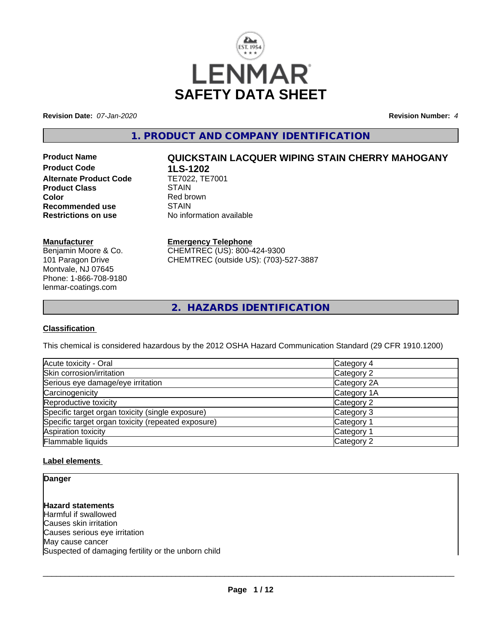

**Revision Date:** *07-Jan-2020* **Revision Number:** *4*

**1. PRODUCT AND COMPANY IDENTIFICATION**

**Product Code 1LS-1202**<br>**Alternate Product Code** TE7022, TE7001 **Alternate Product Code Product Class STAIN Color**<br> **Recommended use**<br> **COLORER STAIN Recommended use**<br>Restrictions on use

# **Product Name QUICKSTAIN LACQUER WIPING STAIN CHERRY MAHOGANY**

**No information available** 

## **Manufacturer**

Benjamin Moore & Co. 101 Paragon Drive Montvale, NJ 07645 Phone: 1-866-708-9180 lenmar-coatings.com

# **Emergency Telephone**

CHEMTREC (US): 800-424-9300 CHEMTREC (outside US): (703)-527-3887

**2. HAZARDS IDENTIFICATION**

# **Classification**

This chemical is considered hazardous by the 2012 OSHA Hazard Communication Standard (29 CFR 1910.1200)

| Acute toxicity - Oral                              | Category 4            |
|----------------------------------------------------|-----------------------|
| Skin corrosion/irritation                          | Category 2            |
| Serious eye damage/eye irritation                  | Category 2A           |
| Carcinogenicity                                    | Category 1A           |
| Reproductive toxicity                              | Category 2            |
| Specific target organ toxicity (single exposure)   | Category 3            |
| Specific target organ toxicity (repeated exposure) | Category <sup>2</sup> |
| Aspiration toxicity                                | Category <sup>2</sup> |
| <b>Flammable liquids</b>                           | Category 2            |

# **Label elements**

**Danger**

**Hazard statements** Harmful if swallowed Causes skin irritation Causes serious eye irritation May cause cancer Suspected of damaging fertility or the unborn child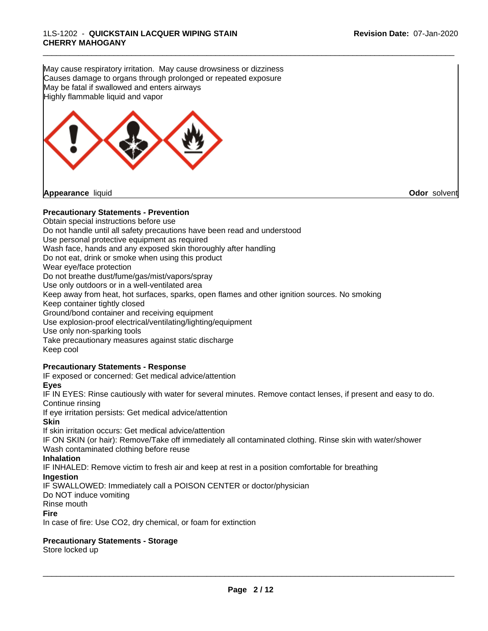May cause respiratory irritation. May cause drowsiness or dizziness Causes damage to organs through prolonged or repeated exposure May be fatal if swallowed and enters airways Highly flammable liquid and vapor



# **Precautionary Statements - Prevention**

Obtain special instructions before use Do not handle until all safety precautions have been read and understood Use personal protective equipment as required Wash face, hands and any exposed skin thoroughly after handling Do not eat, drink or smoke when using this product Wear eye/face protection Do not breathe dust/fume/gas/mist/vapors/spray Use only outdoors or in a well-ventilated area Keep away from heat, hot surfaces, sparks, open flames and other ignition sources. No smoking Keep container tightly closed Ground/bond container and receiving equipment Use explosion-proof electrical/ventilating/lighting/equipment Use only non-sparking tools Take precautionary measures against static discharge Keep cool **Precautionary Statements - Response** IF exposed or concerned: Get medical advice/attention **Eyes** IF IN EYES: Rinse cautiously with water for several minutes. Remove contact lenses, if present and easy to do. Continue rinsing If eye irritation persists: Get medical advice/attention **Skin** If skin irritation occurs: Get medical advice/attention IF ON SKIN (or hair): Remove/Take off immediately all contaminated clothing. Rinse skin with water/shower Wash contaminated clothing before reuse **Inhalation** IF INHALED: Remove victim to fresh air and keep atrest in a position comfortable for breathing **Ingestion** IF SWALLOWED: Immediately call a POISON CENTER or doctor/physician Do NOT induce vomiting Rinse mouth

**Fire**

In case of fire: Use CO2, dry chemical, or foam for extinction

# **Precautionary Statements - Storage**

Store locked up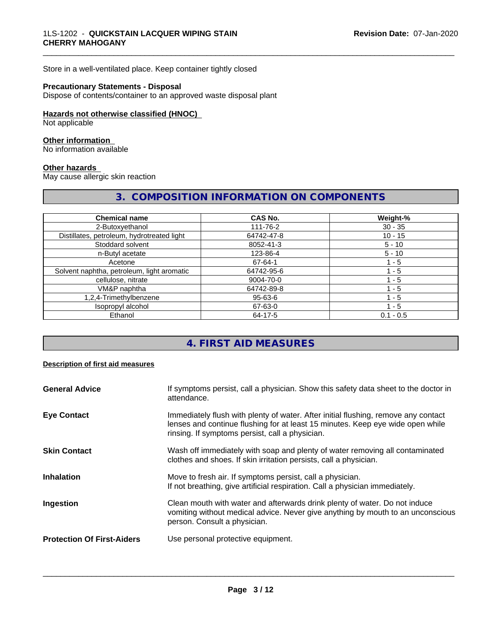Store in a well-ventilated place. Keep container tightly closed

# **Precautionary Statements - Disposal**

Dispose of contents/container to an approved waste disposal plant

## **Hazards not otherwise classified (HNOC)**

Not applicable

# **Other information**

No information available

#### **Other hazards**

May cause allergic skin reaction

# **3. COMPOSITION INFORMATION ON COMPONENTS**

\_\_\_\_\_\_\_\_\_\_\_\_\_\_\_\_\_\_\_\_\_\_\_\_\_\_\_\_\_\_\_\_\_\_\_\_\_\_\_\_\_\_\_\_\_\_\_\_\_\_\_\_\_\_\_\_\_\_\_\_\_\_\_\_\_\_\_\_\_\_\_\_\_\_\_\_\_\_\_\_\_\_\_\_\_\_\_\_\_\_\_\_\_

| <b>Chemical name</b>                       | <b>CAS No.</b> | Weight-%    |
|--------------------------------------------|----------------|-------------|
| 2-Butoxyethanol                            | 111-76-2       | $30 - 35$   |
| Distillates, petroleum, hydrotreated light | 64742-47-8     | $10 - 15$   |
| Stoddard solvent                           | 8052-41-3      | $5 - 10$    |
| n-Butyl acetate                            | 123-86-4       | $5 - 10$    |
| Acetone                                    | 67-64-1        | 1 - 5       |
| Solvent naphtha, petroleum, light aromatic | 64742-95-6     | - 5         |
| cellulose, nitrate                         | 9004-70-0      | l - 5       |
| VM&P naphtha                               | 64742-89-8     | 1 - 5       |
| 1,2,4-Trimethylbenzene                     | 95-63-6        | l - 5       |
| Isopropyl alcohol                          | 67-63-0        | 1 - 5       |
| Ethanol                                    | 64-17-5        | $0.1 - 0.5$ |

# **4. FIRST AID MEASURES**

#### **Description of first aid measures**

| <b>General Advice</b>             | If symptoms persist, call a physician. Show this safety data sheet to the doctor in<br>attendance.                                                                                                                      |
|-----------------------------------|-------------------------------------------------------------------------------------------------------------------------------------------------------------------------------------------------------------------------|
| <b>Eye Contact</b>                | Immediately flush with plenty of water. After initial flushing, remove any contact<br>lenses and continue flushing for at least 15 minutes. Keep eye wide open while<br>rinsing. If symptoms persist, call a physician. |
| <b>Skin Contact</b>               | Wash off immediately with soap and plenty of water removing all contaminated<br>clothes and shoes. If skin irritation persists, call a physician.                                                                       |
| <b>Inhalation</b>                 | Move to fresh air. If symptoms persist, call a physician.<br>If not breathing, give artificial respiration. Call a physician immediately.                                                                               |
| Ingestion                         | Clean mouth with water and afterwards drink plenty of water. Do not induce<br>vomiting without medical advice. Never give anything by mouth to an unconscious<br>person. Consult a physician.                           |
| <b>Protection Of First-Aiders</b> | Use personal protective equipment.                                                                                                                                                                                      |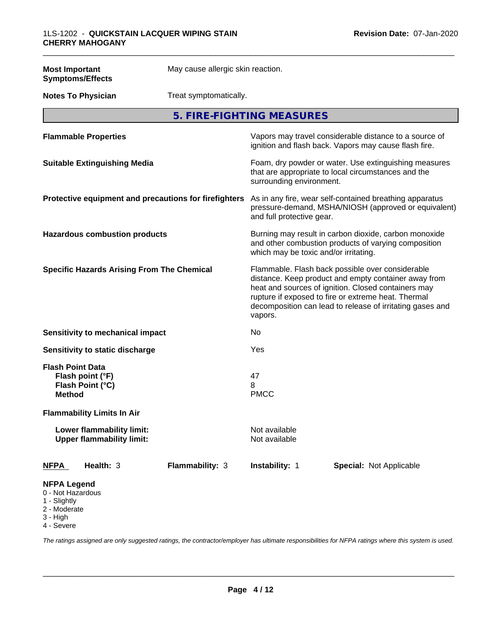| <b>Most Important</b><br><b>Symptoms/Effects</b>                                    | May cause allergic skin reaction. |                                                                                                                                                                                                                                                                                                |                                |  |
|-------------------------------------------------------------------------------------|-----------------------------------|------------------------------------------------------------------------------------------------------------------------------------------------------------------------------------------------------------------------------------------------------------------------------------------------|--------------------------------|--|
| <b>Notes To Physician</b>                                                           | Treat symptomatically.            |                                                                                                                                                                                                                                                                                                |                                |  |
|                                                                                     | 5. FIRE-FIGHTING MEASURES         |                                                                                                                                                                                                                                                                                                |                                |  |
| <b>Flammable Properties</b>                                                         |                                   | Vapors may travel considerable distance to a source of<br>ignition and flash back. Vapors may cause flash fire.                                                                                                                                                                                |                                |  |
| <b>Suitable Extinguishing Media</b>                                                 |                                   | Foam, dry powder or water. Use extinguishing measures<br>that are appropriate to local circumstances and the<br>surrounding environment.                                                                                                                                                       |                                |  |
| Protective equipment and precautions for firefighters                               |                                   | As in any fire, wear self-contained breathing apparatus<br>pressure-demand, MSHA/NIOSH (approved or equivalent)<br>and full protective gear.                                                                                                                                                   |                                |  |
| <b>Hazardous combustion products</b>                                                |                                   | Burning may result in carbon dioxide, carbon monoxide<br>and other combustion products of varying composition<br>which may be toxic and/or irritating.                                                                                                                                         |                                |  |
| <b>Specific Hazards Arising From The Chemical</b>                                   |                                   | Flammable. Flash back possible over considerable<br>distance. Keep product and empty container away from<br>heat and sources of ignition. Closed containers may<br>rupture if exposed to fire or extreme heat. Thermal<br>decomposition can lead to release of irritating gases and<br>vapors. |                                |  |
| Sensitivity to mechanical impact                                                    |                                   | No                                                                                                                                                                                                                                                                                             |                                |  |
| Sensitivity to static discharge                                                     |                                   | Yes                                                                                                                                                                                                                                                                                            |                                |  |
| <b>Flash Point Data</b><br>Flash point (°F)<br>Flash Point (°C)<br><b>Method</b>    |                                   | 47<br>8<br><b>PMCC</b>                                                                                                                                                                                                                                                                         |                                |  |
| <b>Flammability Limits In Air</b>                                                   |                                   |                                                                                                                                                                                                                                                                                                |                                |  |
| Lower flammability limit:<br><b>Upper flammability limit:</b>                       |                                   | Not available<br>Not available                                                                                                                                                                                                                                                                 |                                |  |
| Health: 3<br><b>NFPA</b>                                                            | Flammability: 3                   | Instability: 1                                                                                                                                                                                                                                                                                 | <b>Special: Not Applicable</b> |  |
| <b>NFPA Legend</b><br>0 - Not Hazardous<br>1 - Slightly<br>2 - Moderate<br>3 - High |                                   |                                                                                                                                                                                                                                                                                                |                                |  |

4 - Severe

*The ratings assigned are only suggested ratings, the contractor/employer has ultimate responsibilities for NFPA ratings where this system is used.*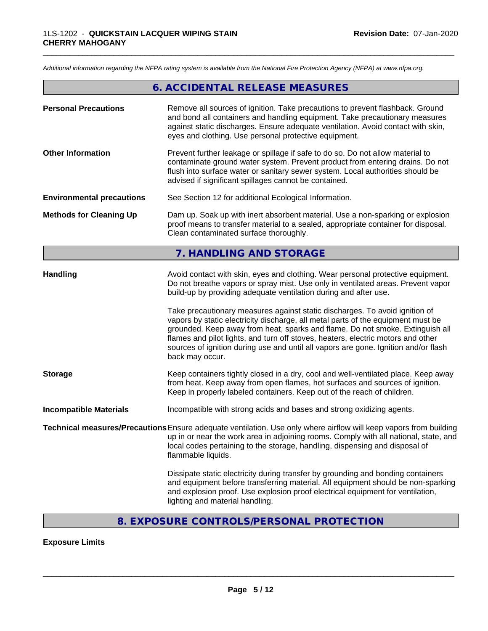*Additional information regarding the NFPA rating system is available from the National Fire Protection Agency (NFPA) at www.nfpa.org.*

# **6. ACCIDENTAL RELEASE MEASURES**

\_\_\_\_\_\_\_\_\_\_\_\_\_\_\_\_\_\_\_\_\_\_\_\_\_\_\_\_\_\_\_\_\_\_\_\_\_\_\_\_\_\_\_\_\_\_\_\_\_\_\_\_\_\_\_\_\_\_\_\_\_\_\_\_\_\_\_\_\_\_\_\_\_\_\_\_\_\_\_\_\_\_\_\_\_\_\_\_\_\_\_\_\_

| <b>Personal Precautions</b>      | Remove all sources of ignition. Take precautions to prevent flashback. Ground<br>and bond all containers and handling equipment. Take precautionary measures<br>against static discharges. Ensure adequate ventilation. Avoid contact with skin,<br>eyes and clothing. Use personal protective equipment.                                                                                                                                      |  |  |
|----------------------------------|------------------------------------------------------------------------------------------------------------------------------------------------------------------------------------------------------------------------------------------------------------------------------------------------------------------------------------------------------------------------------------------------------------------------------------------------|--|--|
| <b>Other Information</b>         | Prevent further leakage or spillage if safe to do so. Do not allow material to<br>contaminate ground water system. Prevent product from entering drains. Do not<br>flush into surface water or sanitary sewer system. Local authorities should be<br>advised if significant spillages cannot be contained.                                                                                                                                     |  |  |
| <b>Environmental precautions</b> | See Section 12 for additional Ecological Information.                                                                                                                                                                                                                                                                                                                                                                                          |  |  |
| <b>Methods for Cleaning Up</b>   | Dam up. Soak up with inert absorbent material. Use a non-sparking or explosion<br>proof means to transfer material to a sealed, appropriate container for disposal.<br>Clean contaminated surface thoroughly.                                                                                                                                                                                                                                  |  |  |
|                                  | 7. HANDLING AND STORAGE                                                                                                                                                                                                                                                                                                                                                                                                                        |  |  |
| <b>Handling</b>                  | Avoid contact with skin, eyes and clothing. Wear personal protective equipment.<br>Do not breathe vapors or spray mist. Use only in ventilated areas. Prevent vapor<br>build-up by providing adequate ventilation during and after use.                                                                                                                                                                                                        |  |  |
|                                  | Take precautionary measures against static discharges. To avoid ignition of<br>vapors by static electricity discharge, all metal parts of the equipment must be<br>grounded. Keep away from heat, sparks and flame. Do not smoke. Extinguish all<br>flames and pilot lights, and turn off stoves, heaters, electric motors and other<br>sources of ignition during use and until all vapors are gone. Ignition and/or flash<br>back may occur. |  |  |
| <b>Storage</b>                   | Keep containers tightly closed in a dry, cool and well-ventilated place. Keep away<br>from heat. Keep away from open flames, hot surfaces and sources of ignition.<br>Keep in properly labeled containers. Keep out of the reach of children.                                                                                                                                                                                                  |  |  |
| <b>Incompatible Materials</b>    | Incompatible with strong acids and bases and strong oxidizing agents.                                                                                                                                                                                                                                                                                                                                                                          |  |  |
|                                  | Technical measures/Precautions Ensure adequate ventilation. Use only where airflow will keep vapors from building<br>up in or near the work area in adjoining rooms. Comply with all national, state, and<br>local codes pertaining to the storage, handling, dispensing and disposal of<br>flammable liquids.                                                                                                                                 |  |  |
|                                  | Dissipate static electricity during transfer by grounding and bonding containers<br>and equipment before transferring material. All equipment should be non-sparking<br>and explosion proof. Use explosion proof electrical equipment for ventilation,<br>lighting and material handling.                                                                                                                                                      |  |  |

# **8. EXPOSURE CONTROLS/PERSONAL PROTECTION**

# **Exposure Limits**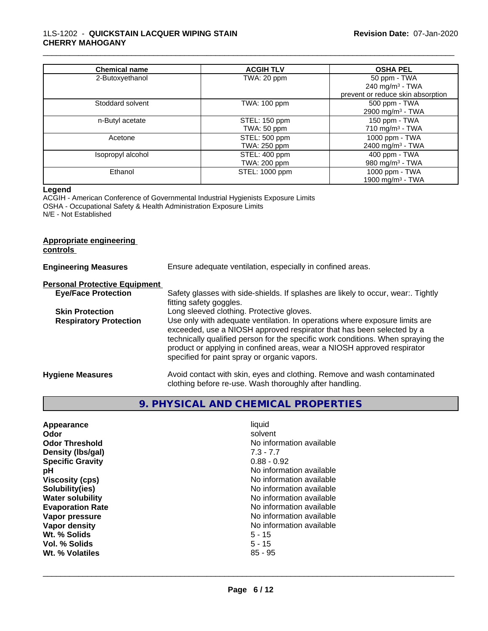## 1LS-1202 - **QUICKSTAIN LACQUER WIPING STAIN CHERRY MAHOGANY**

| <b>Chemical name</b> | <b>ACGIH TLV</b>              | <b>OSHA PEL</b>                                |
|----------------------|-------------------------------|------------------------------------------------|
| 2-Butoxyethanol      | TWA: 20 ppm                   | 50 ppm - TWA<br>240 mg/m <sup>3</sup> - TWA    |
|                      |                               | prevent or reduce skin absorption              |
| Stoddard solvent     | <b>TWA: 100 ppm</b>           | 500 ppm - TWA<br>2900 mg/m <sup>3</sup> - TWA  |
| n-Butyl acetate      | STEL: 150 ppm<br>TWA: 50 ppm  | 150 ppm - TWA<br>710 mg/m $3$ - TWA            |
| Acetone              | STEL: 500 ppm<br>TWA: 250 ppm | 1000 ppm - TWA<br>2400 mg/m <sup>3</sup> - TWA |
| Isopropyl alcohol    | STEL: 400 ppm<br>TWA: 200 ppm | 400 ppm - TWA<br>980 mg/m <sup>3</sup> - TWA   |
| Ethanol              | STEL: 1000 ppm                | 1000 ppm - TWA<br>1900 mg/m <sup>3</sup> - TWA |

\_\_\_\_\_\_\_\_\_\_\_\_\_\_\_\_\_\_\_\_\_\_\_\_\_\_\_\_\_\_\_\_\_\_\_\_\_\_\_\_\_\_\_\_\_\_\_\_\_\_\_\_\_\_\_\_\_\_\_\_\_\_\_\_\_\_\_\_\_\_\_\_\_\_\_\_\_\_\_\_\_\_\_\_\_\_\_\_\_\_\_\_\_

#### **Legend**

ACGIH - American Conference of Governmental Industrial Hygienists Exposure Limits OSHA - Occupational Safety & Health Administration Exposure Limits N/E - Not Established

# **Appropriate engineering**

**controls** 

| <b>Engineering Measures</b>          | Ensure adequate ventilation, especially in confined areas.                                                                                                                                                                                                                                                                                                          |  |
|--------------------------------------|---------------------------------------------------------------------------------------------------------------------------------------------------------------------------------------------------------------------------------------------------------------------------------------------------------------------------------------------------------------------|--|
| <b>Personal Protective Equipment</b> |                                                                                                                                                                                                                                                                                                                                                                     |  |
| <b>Eye/Face Protection</b>           | Safety glasses with side-shields. If splashes are likely to occur, wear Tightly<br>fitting safety goggles.                                                                                                                                                                                                                                                          |  |
| <b>Skin Protection</b>               | Long sleeved clothing. Protective gloves.                                                                                                                                                                                                                                                                                                                           |  |
| <b>Respiratory Protection</b>        | Use only with adequate ventilation. In operations where exposure limits are<br>exceeded, use a NIOSH approved respirator that has been selected by a<br>technically qualified person for the specific work conditions. When spraying the<br>product or applying in confined areas, wear a NIOSH approved respirator<br>specified for paint spray or organic vapors. |  |
| <b>Hygiene Measures</b>              | Avoid contact with skin, eyes and clothing. Remove and wash contaminated<br>clothing before re-use. Wash thoroughly after handling.                                                                                                                                                                                                                                 |  |

# **9. PHYSICAL AND CHEMICAL PROPERTIES**

| Appearance              | liquid                   |
|-------------------------|--------------------------|
| Odor                    | solvent                  |
| <b>Odor Threshold</b>   | No information available |
| Density (Ibs/gal)       | $7.3 - 7.7$              |
| <b>Specific Gravity</b> | $0.88 - 0.92$            |
| рH                      | No information available |
| <b>Viscosity (cps)</b>  | No information available |
| Solubility(ies)         | No information available |
| <b>Water solubility</b> | No information available |
| <b>Evaporation Rate</b> | No information available |
| Vapor pressure          | No information available |
| Vapor density           | No information available |
| Wt. % Solids            | $5 - 15$                 |
| Vol. % Solids           | $5 - 15$                 |
| Wt. % Volatiles         | $85 - 95$                |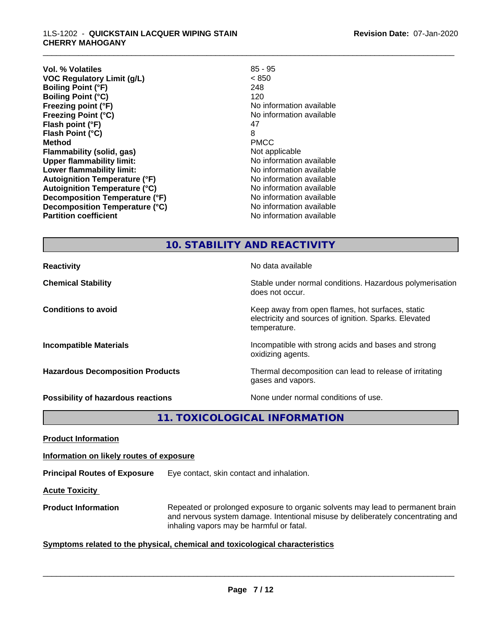| $85 - 95$                |
|--------------------------|
| < 850                    |
| 248                      |
| 120                      |
| No information available |
| No information available |
| 47                       |
| 8                        |
| <b>PMCC</b>              |
| Not applicable           |
| No information available |
| No information available |
| No information available |
| No information available |
| No information available |
| No information available |
| No information available |
|                          |

\_\_\_\_\_\_\_\_\_\_\_\_\_\_\_\_\_\_\_\_\_\_\_\_\_\_\_\_\_\_\_\_\_\_\_\_\_\_\_\_\_\_\_\_\_\_\_\_\_\_\_\_\_\_\_\_\_\_\_\_\_\_\_\_\_\_\_\_\_\_\_\_\_\_\_\_\_\_\_\_\_\_\_\_\_\_\_\_\_\_\_\_\_

# **10. STABILITY AND REACTIVITY**

| <b>Reactivity</b>                         | No data available                                                                                                         |
|-------------------------------------------|---------------------------------------------------------------------------------------------------------------------------|
| <b>Chemical Stability</b>                 | Stable under normal conditions. Hazardous polymerisation<br>does not occur.                                               |
| <b>Conditions to avoid</b>                | Keep away from open flames, hot surfaces, static<br>electricity and sources of ignition. Sparks. Elevated<br>temperature. |
| <b>Incompatible Materials</b>             | Incompatible with strong acids and bases and strong<br>oxidizing agents.                                                  |
| <b>Hazardous Decomposition Products</b>   | Thermal decomposition can lead to release of irritating<br>gases and vapors.                                              |
| <b>Possibility of hazardous reactions</b> | None under normal conditions of use.                                                                                      |

**11. TOXICOLOGICAL INFORMATION**

**Product Information**

**Information on likely routes of exposure**

**Principal Routes of Exposure** Eye contact, skin contact and inhalation.

**Acute Toxicity** 

**Product Information** Repeated or prolonged exposure to organic solvents may lead to permanent brain and nervous system damage. Intentional misuse by deliberately concentrating and inhaling vapors may be harmful or fatal.

# **<u>Symptoms related to the physical, chemical and toxicological characteristics</u>**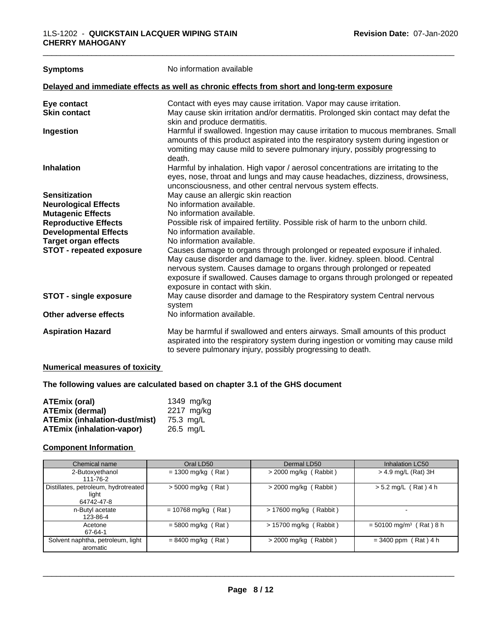| <b>Symptoms</b>                 | No information available                                                                                                                                                                                                                                                                                                                             |  |
|---------------------------------|------------------------------------------------------------------------------------------------------------------------------------------------------------------------------------------------------------------------------------------------------------------------------------------------------------------------------------------------------|--|
|                                 | Delayed and immediate effects as well as chronic effects from short and long-term exposure                                                                                                                                                                                                                                                           |  |
| Eye contact                     | Contact with eyes may cause irritation. Vapor may cause irritation.                                                                                                                                                                                                                                                                                  |  |
| <b>Skin contact</b>             | May cause skin irritation and/or dermatitis. Prolonged skin contact may defat the<br>skin and produce dermatitis.                                                                                                                                                                                                                                    |  |
| Ingestion                       | Harmful if swallowed. Ingestion may cause irritation to mucous membranes. Small<br>amounts of this product aspirated into the respiratory system during ingestion or<br>vomiting may cause mild to severe pulmonary injury, possibly progressing to<br>death.                                                                                        |  |
| <b>Inhalation</b>               | Harmful by inhalation. High vapor / aerosol concentrations are irritating to the<br>eyes, nose, throat and lungs and may cause headaches, dizziness, drowsiness,<br>unconsciousness, and other central nervous system effects.                                                                                                                       |  |
| <b>Sensitization</b>            | May cause an allergic skin reaction                                                                                                                                                                                                                                                                                                                  |  |
| <b>Neurological Effects</b>     | No information available.                                                                                                                                                                                                                                                                                                                            |  |
| <b>Mutagenic Effects</b>        | No information available.                                                                                                                                                                                                                                                                                                                            |  |
| <b>Reproductive Effects</b>     | Possible risk of impaired fertility. Possible risk of harm to the unborn child.                                                                                                                                                                                                                                                                      |  |
| <b>Developmental Effects</b>    | No information available.                                                                                                                                                                                                                                                                                                                            |  |
| <b>Target organ effects</b>     | No information available.                                                                                                                                                                                                                                                                                                                            |  |
| <b>STOT - repeated exposure</b> | Causes damage to organs through prolonged or repeated exposure if inhaled.<br>May cause disorder and damage to the. liver. kidney. spleen. blood. Central<br>nervous system. Causes damage to organs through prolonged or repeated<br>exposure if swallowed. Causes damage to organs through prolonged or repeated<br>exposure in contact with skin. |  |
| <b>STOT - single exposure</b>   | May cause disorder and damage to the Respiratory system Central nervous<br>system                                                                                                                                                                                                                                                                    |  |
| Other adverse effects           | No information available.                                                                                                                                                                                                                                                                                                                            |  |
| <b>Aspiration Hazard</b>        | May be harmful if swallowed and enters airways. Small amounts of this product<br>aspirated into the respiratory system during ingestion or vomiting may cause mild<br>to severe pulmonary injury, possibly progressing to death.                                                                                                                     |  |

# **Numerical measures of toxicity**

**The following values are calculated based on chapter 3.1 of the GHS document**

| <b>ATEmix (oral)</b>             | 1349 mg/kg          |
|----------------------------------|---------------------|
| <b>ATEmix (dermal)</b>           | 2217 mg/kg          |
| ATEmix (inhalation-dust/mist)    | 75.3 ma/L           |
| <b>ATEmix (inhalation-vapor)</b> | $26.5 \text{ ma/L}$ |

# **Component Information**

| Chemical name                                               | Oral LD50             | Dermal LD50              | Inhalation LC50                       |
|-------------------------------------------------------------|-----------------------|--------------------------|---------------------------------------|
| 2-Butoxyethanol<br>111-76-2                                 | $= 1300$ mg/kg (Rat)  | $>$ 2000 mg/kg (Rabbit)  | > 4.9 mg/L (Rat) 3H                   |
| Distillates, petroleum, hydrotreated<br>light<br>64742-47-8 | $> 5000$ mg/kg (Rat)  | $>$ 2000 mg/kg (Rabbit)  | $> 5.2$ mg/L (Rat) 4 h                |
| n-Butyl acetate<br>123-86-4                                 | $= 10768$ mg/kg (Rat) | $> 17600$ mg/kg (Rabbit) |                                       |
| Acetone<br>67-64-1                                          | $= 5800$ mg/kg (Rat)  | $> 15700$ mg/kg (Rabbit) | $=$ 50100 mg/m <sup>3</sup> (Rat) 8 h |
| Solvent naphtha, petroleum, light<br>aromatic               | $= 8400$ mg/kg (Rat)  | $>$ 2000 mg/kg (Rabbit)  | $= 3400$ ppm (Rat) 4 h                |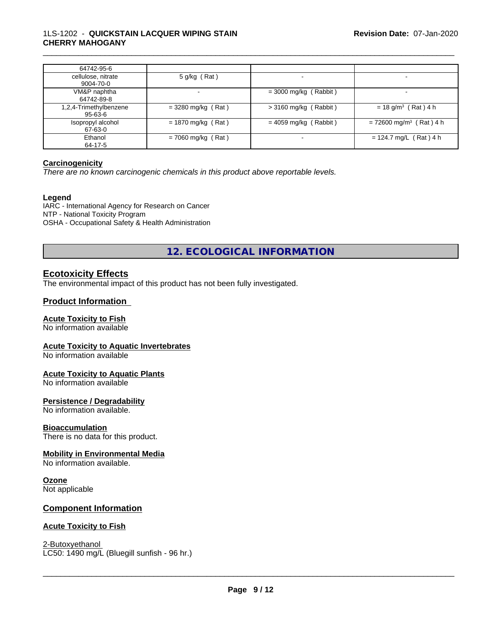## 1LS-1202 - **QUICKSTAIN LACQUER WIPING STAIN CHERRY MAHOGANY**

| 64742-95-6             |                      |                         |                                       |
|------------------------|----------------------|-------------------------|---------------------------------------|
| cellulose, nitrate     | 5 g/kg (Rat)         |                         |                                       |
| 9004-70-0              |                      |                         |                                       |
| VM&P naphtha           |                      | $=$ 3000 mg/kg (Rabbit) | $\overline{\phantom{a}}$              |
| 64742-89-8             |                      |                         |                                       |
| 1,2,4-Trimethylbenzene | $=$ 3280 mg/kg (Rat) | $>$ 3160 mg/kg (Rabbit) | $= 18$ g/m <sup>3</sup> (Rat) 4 h     |
| 95-63-6                |                      |                         |                                       |
| Isopropyl alcohol      | $= 1870$ mg/kg (Rat) | $= 4059$ mg/kg (Rabbit) | $= 72600$ mg/m <sup>3</sup> (Rat) 4 h |
| 67-63-0                |                      |                         |                                       |
| Ethanol                | $= 7060$ mg/kg (Rat) |                         | $= 124.7$ mg/L (Rat) 4 h              |
| 64-17-5                |                      |                         |                                       |

\_\_\_\_\_\_\_\_\_\_\_\_\_\_\_\_\_\_\_\_\_\_\_\_\_\_\_\_\_\_\_\_\_\_\_\_\_\_\_\_\_\_\_\_\_\_\_\_\_\_\_\_\_\_\_\_\_\_\_\_\_\_\_\_\_\_\_\_\_\_\_\_\_\_\_\_\_\_\_\_\_\_\_\_\_\_\_\_\_\_\_\_\_

## **Carcinogenicity**

*There are no known carcinogenic chemicals in this product above reportable levels.*

#### **Legend**

IARC - International Agency for Research on Cancer NTP - National Toxicity Program OSHA - Occupational Safety & Health Administration

**12. ECOLOGICAL INFORMATION**

# **Ecotoxicity Effects**

The environmental impact of this product has not been fully investigated.

## **Product Information**

#### **Acute Toxicity to Fish**

No information available

#### **Acute Toxicity to Aquatic Invertebrates**

No information available

#### **Acute Toxicity to Aquatic Plants**

No information available

#### **Persistence / Degradability**

No information available.

#### **Bioaccumulation**

There is no data for this product.

#### **Mobility in Environmental Media**

No information available.

# **Ozone**

Not applicable

# **Component Information**

#### **Acute Toxicity to Fish**

2-Butoxyethanol \_\_\_\_\_\_\_\_\_\_\_\_\_\_\_\_\_\_\_\_\_\_\_\_\_\_\_\_\_\_\_\_\_\_\_\_\_\_\_\_\_\_\_\_\_\_\_\_\_\_\_\_\_\_\_\_\_\_\_\_\_\_\_\_\_\_\_\_\_\_\_\_\_\_\_\_\_\_\_\_\_\_\_\_\_\_\_\_\_\_\_\_\_ LC50: 1490 mg/L (Bluegill sunfish - 96 hr.)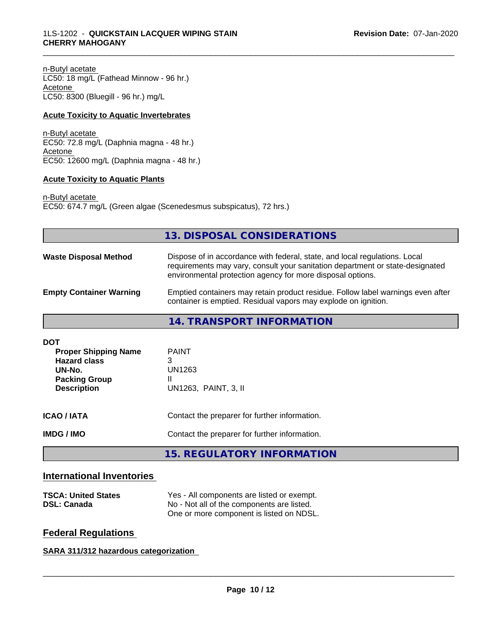n-Butyl acetate

LC50: 18 mg/L (Fathead Minnow - 96 hr.) Acetone LC50: 8300 (Bluegill - 96 hr.) mg/L

#### **Acute Toxicity to Aquatic Invertebrates**

n-Butyl acetate EC50: 72.8 mg/L (Daphnia magna - 48 hr.) Acetone EC50: 12600 mg/L (Daphnia magna - 48 hr.)

## **Acute Toxicity to Aquatic Plants**

n-Butyl acetate EC50: 674.7 mg/L (Green algae (Scenedesmus subspicatus), 72 hrs.)

|                                                                                                                          | 13. DISPOSAL CONSIDERATIONS                                                                                                                                                                                               |
|--------------------------------------------------------------------------------------------------------------------------|---------------------------------------------------------------------------------------------------------------------------------------------------------------------------------------------------------------------------|
| <b>Waste Disposal Method</b>                                                                                             | Dispose of in accordance with federal, state, and local regulations. Local<br>requirements may vary, consult your sanitation department or state-designated<br>environmental protection agency for more disposal options. |
| <b>Empty Container Warning</b>                                                                                           | Emptied containers may retain product residue. Follow label warnings even after<br>container is emptied. Residual vapors may explode on ignition.                                                                         |
|                                                                                                                          | 14. TRANSPORT INFORMATION                                                                                                                                                                                                 |
| <b>DOT</b><br><b>Proper Shipping Name</b><br><b>Hazard class</b><br>UN-No.<br><b>Packing Group</b><br><b>Description</b> | <b>PAINT</b><br>3<br><b>UN1263</b><br>Ш<br>UN1263, PAINT, 3, II                                                                                                                                                           |
| <b>ICAO / IATA</b>                                                                                                       | Contact the preparer for further information.                                                                                                                                                                             |
| <b>IMDG/IMO</b>                                                                                                          | Contact the preparer for further information.                                                                                                                                                                             |
|                                                                                                                          | <b>15. REGULATORY INFORMATION</b>                                                                                                                                                                                         |

\_\_\_\_\_\_\_\_\_\_\_\_\_\_\_\_\_\_\_\_\_\_\_\_\_\_\_\_\_\_\_\_\_\_\_\_\_\_\_\_\_\_\_\_\_\_\_\_\_\_\_\_\_\_\_\_\_\_\_\_\_\_\_\_\_\_\_\_\_\_\_\_\_\_\_\_\_\_\_\_\_\_\_\_\_\_\_\_\_\_\_\_\_

# **International Inventories**

| <b>TSCA: United States</b> | Yes - All components are listed or exempt. |  |
|----------------------------|--------------------------------------------|--|
| <b>DSL: Canada</b>         | No - Not all of the components are listed. |  |
|                            | One or more component is listed on NDSL.   |  |

# **Federal Regulations**

**SARA 311/312 hazardous categorization**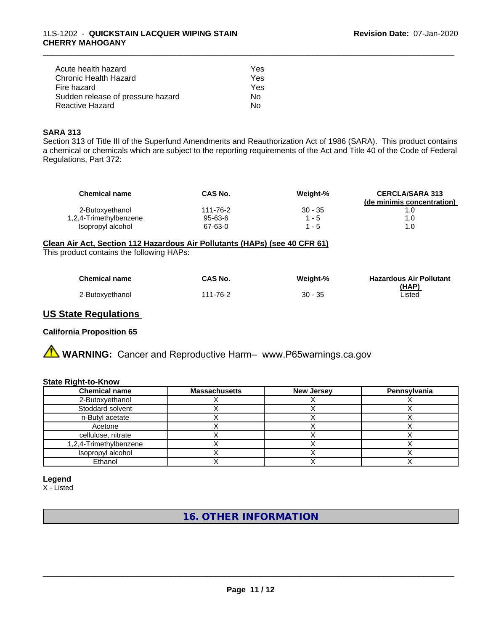| Acute health hazard               | Yes |
|-----------------------------------|-----|
| Chronic Health Hazard             | Yes |
| Fire hazard                       | Yes |
| Sudden release of pressure hazard | N٥  |
| Reactive Hazard                   | N٥  |

## **SARA 313**

Section 313 of Title III of the Superfund Amendments and Reauthorization Act of 1986 (SARA). This product contains a chemical or chemicals which are subject to the reporting requirements of the Act and Title 40 of the Code of Federal Regulations, Part 372:

\_\_\_\_\_\_\_\_\_\_\_\_\_\_\_\_\_\_\_\_\_\_\_\_\_\_\_\_\_\_\_\_\_\_\_\_\_\_\_\_\_\_\_\_\_\_\_\_\_\_\_\_\_\_\_\_\_\_\_\_\_\_\_\_\_\_\_\_\_\_\_\_\_\_\_\_\_\_\_\_\_\_\_\_\_\_\_\_\_\_\_\_\_

| <b>Chemical name</b>   | CAS No.       | Weight-%  | <b>CERCLA/SARA 313</b>     |
|------------------------|---------------|-----------|----------------------------|
|                        |               |           | (de minimis concentration) |
| 2-Butoxyethanol        | 111-76-2      | $30 - 35$ |                            |
| 1,2,4-Trimethylbenzene | $95 - 63 - 6$ | 1 - 5     | .O                         |
| Isopropyl alcohol      | 67-63-0       | $-5$      | .0                         |

**Clean Air Act,Section 112 Hazardous Air Pollutants (HAPs) (see 40 CFR 61)**

This product contains the following HAPs:

| <b>Chemical name</b> | CAS No.  | Weight-%  | <b>Hazardous Air Pollutant</b> |
|----------------------|----------|-----------|--------------------------------|
|                      |          |           | (HAP)                          |
| 2-Butoxyethanol      | 111-76-2 | $30 - 35$ | Listed                         |

# **US State Regulations**

#### **California Proposition 65**

**A** WARNING: Cancer and Reproductive Harm– www.P65warnings.ca.gov

#### **State Right-to-Know**

| <b>Chemical name</b>   | <b>Massachusetts</b> | <b>New Jersey</b> | Pennsylvania |
|------------------------|----------------------|-------------------|--------------|
| 2-Butoxyethanol        |                      |                   |              |
| Stoddard solvent       |                      |                   |              |
| n-Butyl acetate        |                      |                   |              |
| Acetone                |                      |                   |              |
| cellulose, nitrate     |                      |                   |              |
| 1,2,4-Trimethylbenzene |                      |                   |              |
| Isopropyl alcohol      |                      |                   |              |
| Ethanol                |                      |                   |              |

#### **Legend**

X - Listed

**16. OTHER INFORMATION**